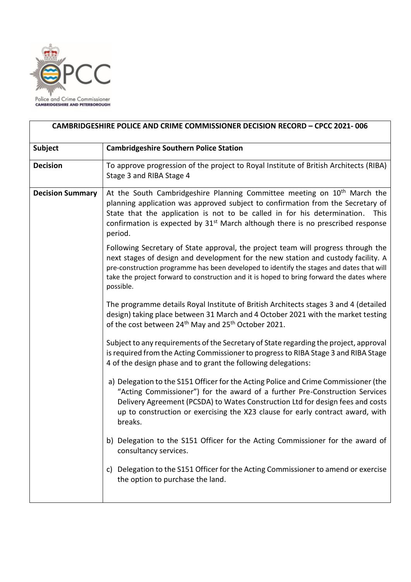

.

| <b>Subject</b>          | <b>Cambridgeshire Southern Police Station</b>                                                                                                                                                                                                                                                                                                                                |
|-------------------------|------------------------------------------------------------------------------------------------------------------------------------------------------------------------------------------------------------------------------------------------------------------------------------------------------------------------------------------------------------------------------|
|                         |                                                                                                                                                                                                                                                                                                                                                                              |
| <b>Decision</b>         | To approve progression of the project to Royal Institute of British Architects (RIBA)<br>Stage 3 and RIBA Stage 4                                                                                                                                                                                                                                                            |
| <b>Decision Summary</b> | At the South Cambridgeshire Planning Committee meeting on 10 <sup>th</sup> March the<br>planning application was approved subject to confirmation from the Secretary of<br>State that the application is not to be called in for his determination.<br>This<br>confirmation is expected by 31 <sup>st</sup> March although there is no prescribed response<br>period.        |
|                         | Following Secretary of State approval, the project team will progress through the<br>next stages of design and development for the new station and custody facility. A<br>pre-construction programme has been developed to identify the stages and dates that will<br>take the project forward to construction and it is hoped to bring forward the dates where<br>possible. |
|                         | The programme details Royal Institute of British Architects stages 3 and 4 (detailed<br>design) taking place between 31 March and 4 October 2021 with the market testing<br>of the cost between 24 <sup>th</sup> May and 25 <sup>th</sup> October 2021.                                                                                                                      |
|                         | Subject to any requirements of the Secretary of State regarding the project, approval<br>is required from the Acting Commissioner to progress to RIBA Stage 3 and RIBA Stage<br>4 of the design phase and to grant the following delegations:                                                                                                                                |
|                         | a) Delegation to the S151 Officer for the Acting Police and Crime Commissioner (the<br>"Acting Commissioner") for the award of a further Pre-Construction Services<br>Delivery Agreement (PCSDA) to Wates Construction Ltd for design fees and costs<br>up to construction or exercising the X23 clause for early contract award, with<br>breaks.                            |
|                         | b) Delegation to the S151 Officer for the Acting Commissioner for the award of<br>consultancy services.                                                                                                                                                                                                                                                                      |
|                         | Delegation to the S151 Officer for the Acting Commissioner to amend or exercise<br>C)<br>the option to purchase the land.                                                                                                                                                                                                                                                    |